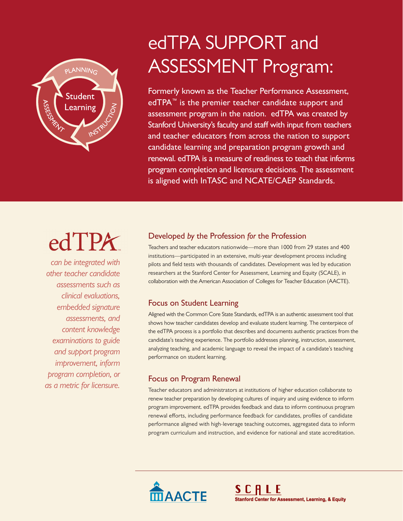

# edTPA SUPPORT and ASSESSMENT Program:

Formerly known as the Teacher Performance Assessment, edTPA<sup>™</sup> is the premier teacher candidate support and assessment program in the nation. edTPA was created by Stanford University's faculty and staff with input from teachers and teacher educators from across the nation to support candidate learning and preparation program growth and renewal. edTPA is a measure of readiness to teach that informs program completion and licensure decisions. The assessment is aligned with InTASC and NCATE/CAEP Standards.

# edTPA

*can be integrated with other teacher candidate assessments such as clinical evaluations, embedded signature assessments, and content knowledge examinations to guide and support program improvement, inform program completion, or as a metric for licensure.*

## Developed *by* the Profession *for* the Profession

Teachers and teacher educators nationwide—more than 1000 from 29 states and 400 institutions—participated in an extensive, multi-year development process including pilots and field tests with thousands of candidates. Development was led by education researchers at the Stanford Center for Assessment, Learning and Equity (SCALE), in collaboration with the American Association of Colleges for Teacher Education (AACTE).

### Focus on Student Learning

Aligned with the Common Core State Standards, edTPA is an authentic assessment tool that shows how teacher candidates develop and evaluate student learning. The centerpiece of the edTPA process is a portfolio that describes and documents authentic practices from the candidate's teaching experience. The portfolio addresses planning, instruction, assessment, analyzing teaching, and academic language to reveal the impact of a candidate's teaching performance on student learning.

#### Focus on Program Renewal

Teacher educators and administrators at institutions of higher education collaborate to renew teacher preparation by developing cultures of inquiry and using evidence to inform program improvement. edTPA provides feedback and data to inform continuous program renewal efforts, including performance feedback for candidates, profiles of candidate performance aligned with high-leverage teaching outcomes, aggregated data to inform program curriculum and instruction, and evidence for national and state accreditation.